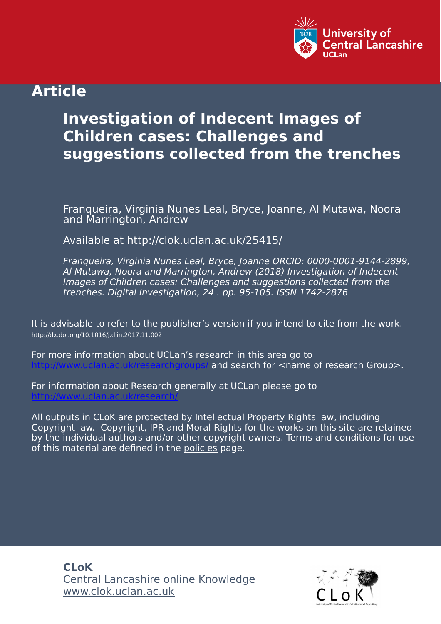

# **Article**

# **Investigation of Indecent Images of Children cases: Challenges and suggestions collected from the trenches**

Franqueira, Virginia Nunes Leal, Bryce, Joanne, Al Mutawa, Noora and Marrington, Andrew

Available at http://clok.uclan.ac.uk/25415/

Franqueira, Virginia Nunes Leal, Bryce, Joanne ORCID: 0000-0001-9144-2899, Al Mutawa, Noora and Marrington, Andrew (2018) Investigation of Indecent Images of Children cases: Challenges and suggestions collected from the trenches. Digital Investigation, 24 . pp. 95-105. ISSN 1742-2876

It is advisable to refer to the publisher's version if you intend to cite from the work. http://dx.doi.org/10.1016/j.diin.2017.11.002

For more information about UCLan's research in this area go to and search for <name of research Group>.

For information about Research generally at UCLan please go to <http://www.uclan.ac.uk/research/>

All outputs in CLoK are protected by Intellectual Property Rights law, including Copyright law. Copyright, IPR and Moral Rights for the works on this site are retained by the individual authors and/or other copyright owners. Terms and conditions for use of this material are defined in the [policies](https://clok.uclan.ac.uk/policies.html) page.

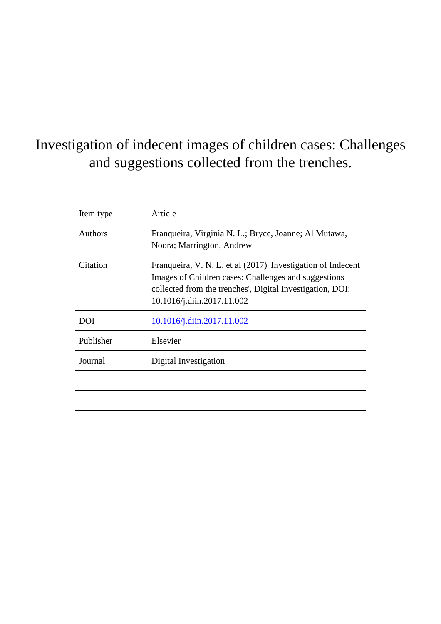# Investigation of indecent images of children cases: Challenges and suggestions collected from the trenches.

| Item type      | Article                                                                                                                                                                                                         |
|----------------|-----------------------------------------------------------------------------------------------------------------------------------------------------------------------------------------------------------------|
| <b>Authors</b> | Franqueira, Virginia N. L.; Bryce, Joanne; Al Mutawa,<br>Noora; Marrington, Andrew                                                                                                                              |
| Citation       | Franqueira, V. N. L. et al (2017) 'Investigation of Indecent<br>Images of Children cases: Challenges and suggestions<br>collected from the trenches', Digital Investigation, DOI:<br>10.1016/j.diin.2017.11.002 |
| <b>DOI</b>     | 10.1016/j.diin.2017.11.002                                                                                                                                                                                      |
| Publisher      | Elsevier                                                                                                                                                                                                        |
| Journal        | Digital Investigation                                                                                                                                                                                           |
|                |                                                                                                                                                                                                                 |
|                |                                                                                                                                                                                                                 |
|                |                                                                                                                                                                                                                 |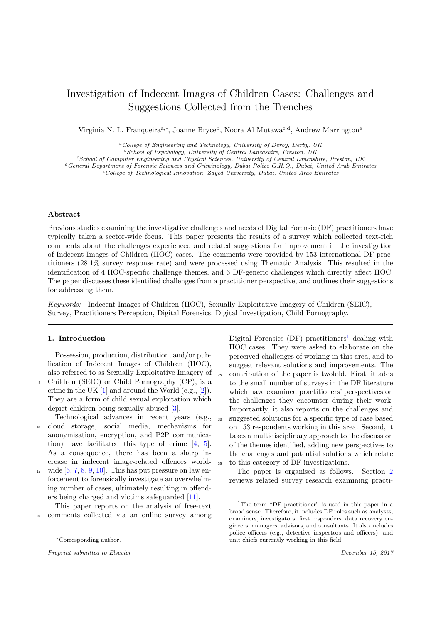# Investigation of Indecent Images of Children Cases: Challenges and Suggestions Collected from the Trenches

Virginia N. L. Franqueira<sup>a,∗</sup>, Joanne Bryce<sup>b</sup>, Noora Al Mutawa<sup>c,d</sup>, Andrew Marrington<sup>e</sup>

 ${}^a$ College of Engineering and Technology, University of Derby, Derby, UK

 $b$ School of Psychology, University of Central Lancashire, Preston, UK

<sup>c</sup>School of Computer Engineering and Physical Sciences, University of Central Lancashire, Preston, UK

<sup>d</sup>General Department of Forensic Sciences and Criminology, Dubai Police G.H.Q., Dubai, United Arab Emirates

 $e$ <sup>e</sup>College of Technological Innovation, Zayed University, Dubai, United Arab Emirates

#### Abstract

Previous studies examining the investigative challenges and needs of Digital Forensic (DF) practitioners have typically taken a sector-wide focus. This paper presents the results of a survey which collected text-rich comments about the challenges experienced and related suggestions for improvement in the investigation of Indecent Images of Children (IIOC) cases. The comments were provided by 153 international DF practitioners (28.1% survey response rate) and were processed using Thematic Analysis. This resulted in the identification of 4 IIOC-specific challenge themes, and 6 DF-generic challenges which directly affect IIOC. The paper discusses these identified challenges from a practitioner perspective, and outlines their suggestions for addressing them.

Keywords: Indecent Images of Children (IIOC), Sexually Exploitative Imagery of Children (SEIC), Survey, Practitioners Perception, Digital Forensics, Digital Investigation, Child Pornography.

# <span id="page-2-1"></span>1. Introduction

Possession, production, distribution, and/or publication of Indecent Images of Children (IIOC), also referred to as Sexually Exploitative Imagery of

- <sup>5</sup> Children (SEIC) or Child Pornography (CP), is a crime in the UK  $[1]$  and around the World (e.g.,  $[2]$ ). They are a form of child sexual exploitation which depict children being sexually abused [\[3\]](#page-13-2).
- Technological advances in recent years (e.g., <sup>10</sup> cloud storage, social media, mechanisms for anonymisation, encryption, and P2P communication) have facilitated this type of crime [\[4,](#page-13-3) [5\]](#page-13-4). As a consequence, there has been a sharp increase in indecent image-related offences world-
- <sup>15</sup> wide  $[6, 7, 8, 9, 10]$  $[6, 7, 8, 9, 10]$  $[6, 7, 8, 9, 10]$  $[6, 7, 8, 9, 10]$  $[6, 7, 8, 9, 10]$  $[6, 7, 8, 9, 10]$  $[6, 7, 8, 9, 10]$  $[6, 7, 8, 9, 10]$  $[6, 7, 8, 9, 10]$ . This has put pressure on law enforcement to forensically investigate an overwhelming number of cases, ultimately resulting in offenders being charged and victims safeguarded [\[11\]](#page-14-3).

This paper reports on the analysis of free-text <sup>20</sup> comments collected via an online survey among

Digital Forensics  $(DF)$  practitioners<sup>[1](#page-2-0)</sup> dealing with IIOC cases. They were asked to elaborate on the perceived challenges of working in this area, and to suggest relevant solutions and improvements. The <sup>25</sup> contribution of the paper is twofold. First, it adds to the small number of surveys in the DF literature which have examined practitioners' perspectives on the challenges they encounter during their work. Importantly, it also reports on the challenges and <sup>30</sup> suggested solutions for a specific type of case based on 153 respondents working in this area. Second, it takes a multidisciplinary approach to the discussion of the themes identified, adding new perspectives to the challenges and potential solutions which relate <sup>35</sup> to this category of DF investigations.

The paper is organised as follows. Section [2](#page-3-0) reviews related survey research examining practi-

<sup>∗</sup>Corresponding author.

Preprint submitted to Elsevier density of the Second Pecember 15, 2017

<span id="page-2-0"></span><sup>&</sup>lt;sup>1</sup>The term "DF practitioner" is used in this paper in a broad sense. Therefore, it includes DF roles such as analysts, examiners, investigators, first responders, data recovery engineers, managers, advisors, and consultants. It also includes police officers (e.g., detective inspectors and officers), and unit chiefs currently working in this field.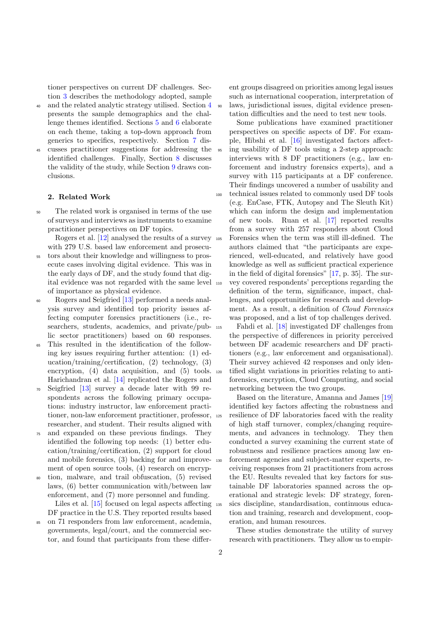tioner perspectives on current DF challenges. Section [3](#page-4-0) describes the methodology adopted, sample

- <sup>40</sup> and the related analytic strategy utilised. Section [4](#page-4-1) presents the sample demographics and the challenge themes identified. Sections [5](#page-5-0) and [6](#page-9-0) elaborate on each theme, taking a top-down approach from generics to specifics, respectively. Section [7](#page-10-0) dis-
- <sup>45</sup> cusses practitioner suggestions for addressing the identified challenges. Finally, Section [8](#page-12-0) discusses the validity of the study, while Section [9](#page-13-7) draws conclusions.

#### <span id="page-3-0"></span>2. Related Work

<sup>50</sup> The related work is organised in terms of the use of surveys and interviews as instruments to examine practitioner perspectives on DF topics.

Rogers et al. [\[12\]](#page-14-4) analysed the results of a survey with 279 U.S. based law enforcement and prosecu-

- <sup>55</sup> tors about their knowledge and willingness to prosecute cases involving digital evidence. This was in the early days of DF, and the study found that digital evidence was not regarded with the same level of importance as physical evidence.
- <sup>60</sup> Rogers and Seigfried [\[13\]](#page-14-5) performed a needs analysis survey and identified top priority issues affecting computer forensics practitioners (i.e., researchers, students, academics, and private/pub-  $_{115}$ lic sector practitioners) based on 60 responses.
- This resulted in the identification of the following key issues requiring further attention: (1) education/training/certification, (2) technology, (3) encryption, (4) data acquisition, and (5) tools. Harichandran et al. [\[14\]](#page-14-6) replicated the Rogers and
- <sup>70</sup> Seigfried [\[13\]](#page-14-5) survey a decade later with 99 respondents across the following primary occupations: industry instructor, law enforcement practitioner, non-law enforcement practitioner, professor, researcher, and student. Their results aligned with
- <sup>75</sup> and expanded on these previous findings. They identified the following top needs: (1) better education/training/certification, (2) support for cloud and mobile forensics, (3) backing for and improvement of open source tools, (4) research on encryp-
- <sup>80</sup> tion, malware, and trail obfuscation, (5) revised laws, (6) better communication with/between law enforcement, and (7) more personnel and funding. Liles et al. [\[15\]](#page-14-7) focused on legal aspects affecting DF practice in the U.S. They reported results based
- <sup>85</sup> on 71 responders from law enforcement, academia, governments, legal/court, and the commercial sector, and found that participants from these differ-

ent groups disagreed on priorities among legal issues such as international cooperation, interpretation of <sup>90</sup> laws, jurisdictional issues, digital evidence presentation difficulties and the need to test new tools.

Some publications have examined practitioner perspectives on specific aspects of DF. For example, Hibshi et al. [\[16\]](#page-14-8) investigated factors affect-<sup>95</sup> ing usability of DF tools using a 2-step approach: interviews with 8 DF practitioners (e.g., law enforcement and industry forensics experts), and a survey with 115 participants at a DF conference. Their findings uncovered a number of usability and <sup>100</sup> technical issues related to commonly used DF tools (e.g. EnCase, FTK, Autopsy and The Sleuth Kit) which can inform the design and implementation of new tools. Ruan et al. [\[17\]](#page-14-9) reported results from a survey with 257 responders about Cloud <sup>105</sup> Forensics when the term was still ill-defined. The authors claimed that "the participants are experienced, well-educated, and relatively have good knowledge as well as sufficient practical experience in the field of digital forensics" [\[17,](#page-14-9) p. 35]. The sur-<sup>110</sup> vey covered respondents' perceptions regarding the definition of the term, significance, impact, challenges, and opportunities for research and development. As a result, a definition of Cloud Forensics was proposed, and a list of top challenges derived.

Fahdi et al. [\[18\]](#page-14-10) investigated DF challenges from the perspective of differences in priority perceived between DF academic researchers and DF practitioners (e.g., law enforcement and organisational). Their survey achieved 42 responses and only iden-<sup>120</sup> tified slight variations in priorities relating to antiforensics, encryption, Cloud Computing, and social networking between the two groups.

Based on the literature, Amanna and James [\[19\]](#page-14-11) identified key factors affecting the robustness and <sup>125</sup> resilience of DF laboratories faced with the reality of high staff turnover, complex/changing requirements, and advances in technology. They then conducted a survey examining the current state of robustness and resilience practices among law enforcement agencies and subject-matter experts, receiving responses from 21 practitioners from across the EU. Results revealed that key factors for sustainable DF laboratories spanned across the operational and strategic levels: DF strategy, foren-<sup>135</sup> sics discipline, standardisation, continuous education and training, research and development, cooperation, and human resources.

These studies demonstrate the utility of survey research with practitioners. They allow us to empir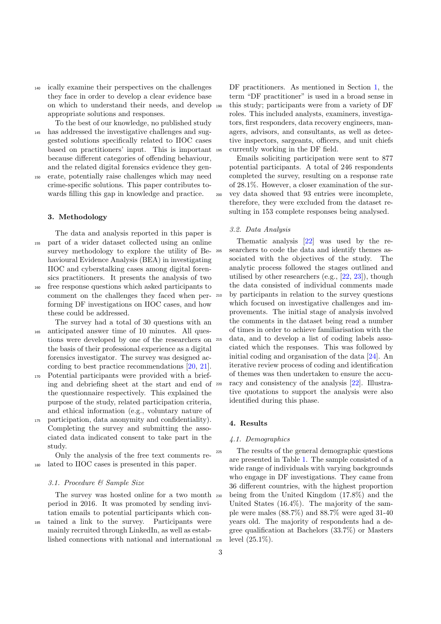<sup>140</sup> ically examine their perspectives on the challenges they face in order to develop a clear evidence base on which to understand their needs, and develop appropriate solutions and responses.

To the best of our knowledge, no published study <sup>145</sup> has addressed the investigative challenges and suggested solutions specifically related to IIOC cases based on practitioners' input. This is important because different categories of offending behaviour, and the related digital forensics evidence they gen-

<sup>150</sup> erate, potentially raise challenges which may need crime-specific solutions. This paper contributes towards filling this gap in knowledge and practice.

### <span id="page-4-0"></span>3. Methodology

The data and analysis reported in this paper is <sup>155</sup> part of a wider dataset collected using an online survey methodology to explore the utility of Behavioural Evidence Analysis (BEA) in investigating IIOC and cyberstalking cases among digital forensics practitioners. It presents the analysis of two

<sup>160</sup> free response questions which asked participants to comment on the challenges they faced when performing DF investigations on IIOC cases, and how these could be addressed.

The survey had a total of 30 questions with an <sup>165</sup> anticipated answer time of 10 minutes. All questions were developed by one of the researchers on the basis of their professional experience as a digital forensics investigator. The survey was designed according to best practice recommendations [\[20,](#page-14-12) [21\]](#page-14-13).

- <sup>170</sup> Potential participants were provided with a briefing and debriefing sheet at the start and end of the questionnaire respectively. This explained the purpose of the study, related participation criteria, and ethical information (e.g., voluntary nature of
- <sup>175</sup> participation, data anonymity and confidentiality). Completing the survey and submitting the associated data indicated consent to take part in the study.

Only the analysis of the free text comments re-<sup>180</sup> lated to IIOC cases is presented in this paper.

# 3.1. Procedure & Sample Size

The survey was hosted online for a two month period in 2016. It was promoted by sending invitation emails to potential participants which con-<sup>185</sup> tained a link to the survey. Participants were mainly recruited through LinkedIn, as well as estab-

lished connections with national and international

DF practitioners. As mentioned in Section [1,](#page-2-1) the term "DF practitioner" is used in a broad sense in this study; participants were from a variety of DF roles. This included analysts, examiners, investigators, first responders, data recovery engineers, managers, advisors, and consultants, as well as detective inspectors, sargeants, officers, and unit chiefs <sup>195</sup> currently working in the DF field.

Emails soliciting participation were sent to 877 potential participants. A total of 246 respondents completed the survey, resulting on a response rate of 28.1%. However, a closer examination of the sur-<sup>200</sup> vey data showed that 93 entries were incomplete, therefore, they were excluded from the dataset resulting in 153 complete responses being analysed.

# 3.2. Data Analysis

Thematic analysis [\[22\]](#page-14-14) was used by the re-<sup>205</sup> searchers to code the data and identify themes associated with the objectives of the study. The analytic process followed the stages outlined and utilised by other researchers (e.g., [\[22,](#page-14-14) [23\]](#page-14-15)), though the data consisted of individual comments made by participants in relation to the survey questions which focused on investigative challenges and improvements. The initial stage of analysis involved the comments in the dataset being read a number of times in order to achieve familiarisation with the <sup>215</sup> data, and to develop a list of coding labels associated which the responses. This was followed by initial coding and organisation of the data [\[24\]](#page-14-16). An iterative review process of coding and identification of themes was then undertaken to ensure the accu-<sup>220</sup> racy and consistency of the analysis [\[22\]](#page-14-14). Illustrative quotations to support the analysis were also identified during this phase.

#### <span id="page-4-1"></span>4. Results

#### 4.1. Demographics

The results of the general demographic questions are presented in Table [1.](#page-5-1) The sample consisted of a wide range of individuals with varying backgrounds who engage in DF investigations. They came from 36 different countries, with the highest proportion being from the United Kingdom  $(17.8\%)$  and the United States (16.4%). The majority of the sample were males (88.7%) and 88.7% were aged 31-40 years old. The majority of respondents had a degree qualification at Bachelors (33.7%) or Masters level  $(25.1\%)$ .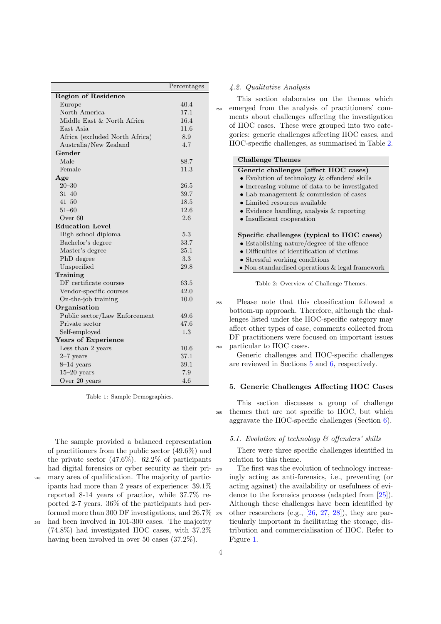<span id="page-5-1"></span>

|                                | Percentages |
|--------------------------------|-------------|
| <b>Region of Residence</b>     |             |
| Europe                         | 40.4        |
| North America                  | 17.1        |
| Middle East & North Africa     | 16.4        |
| East Asia                      | 11.6        |
| Africa (excluded North Africa) | 8.9         |
| Australia/New Zealand          | 4.7         |
| Gender                         |             |
| Male                           | 88.7        |
| Female                         | 11.3        |
| Age                            |             |
| $20 - 30$                      | 26.5        |
| $31 - 40$                      | 39.7        |
| $41 - 50$                      | 18.5        |
| $51 - 60$                      | 12.6        |
| Over 60                        | 2.6         |
| <b>Education Level</b>         |             |
| High school diploma            | 5.3         |
| Bachelor's degree              | 33.7        |
| Master's degree                | $25.1\,$    |
| PhD degree                     | 3.3         |
| Unspecified                    | 29.8        |
| Training                       |             |
| DF certificate courses         | 63.5        |
| Vendor-specific courses        | 42.0        |
| On-the-job training            | 10.0        |
| Organisation                   |             |
| Public sector/Law Enforcement  | 49.6        |
| Private sector                 | 47.6        |
| Self-employed                  | 1.3         |
| Years of Experience            |             |
| Less than 2 years              | 10.6        |
| $2-7$ years                    | 37.1        |
| $8-14$ years                   | 39.1        |
| $15-20$ years                  | 7.9         |
| Over 20 years                  | 4.6         |

Table 1: Sample Demographics.

the private sector  $(47.6\%)$ .  $62.2\%$  of participants had digital forensics or cyber security as their pri-<sup>240</sup> mary area of qualification. The majority of participants had more than 2 years of experience: 39.1% reported 8-14 years of practice, while 37.7% reported 2-7 years. 36% of the participants had performed more than 300 DF investigations, and 26.7%

The sample provided a balanced representation of practitioners from the public sector (49.6%) and

<sup>245</sup> had been involved in 101-300 cases. The majority (74.8%) had investigated IIOC cases, with 37.2% having been involved in over 50 cases (37.2%).

# 4.2. Qualitative Analysis

This section elaborates on the themes which <sup>250</sup> emerged from the analysis of practitioners' comments about challenges affecting the investigation of IIOC cases. These were grouped into two categories: generic challenges affecting IIOC cases, and IIOC-specific challenges, as summarised in Table [2.](#page-5-2)

<span id="page-5-2"></span>

| <b>Challenge Themes</b>                             |
|-----------------------------------------------------|
| Generic challenges (affect IIOC cases)              |
| • Evolution of technology $\&$ offenders' skills    |
| • Increasing volume of data to be investigated      |
| • Lab management $&$ commission of cases            |
| $\bullet$ Limited resources available               |
| $\bullet$ Evidence handling, analysis & reporting   |
| • Insufficient cooperation                          |
|                                                     |
| Specific challenges (typical to IIOC cases)         |
| $\bullet$ Establishing nature/degree of the offence |
| $\bullet$ Difficulties of identification of victims |
| • Stressful working conditions                      |
| • Non-standardised operations $\&$ legal framework  |
|                                                     |
| Table 2: Overview of Challenge Themes               |

erview of Ch

<sup>255</sup> Please note that this classification followed a bottom-up approach. Therefore, although the challenges listed under the IIOC-specific category may affect other types of case, comments collected from DF practitioners were focused on important issues <sup>260</sup> particular to IIOC cases.

Generic challenges and IIOC-specific challenges are reviewed in Sections [5](#page-5-0) and [6,](#page-9-0) respectively.

# <span id="page-5-0"></span>5. Generic Challenges Affecting IIOC Cases

This section discusses a group of challenge <sup>265</sup> themes that are not specific to IIOC, but which aggravate the IIOC-specific challenges (Section [6\)](#page-9-0).

# 5.1. Evolution of technology & offenders' skills

There were three specific challenges identified in relation to this theme.

The first was the evolution of technology increasingly acting as anti-forensics, i.e., preventing (or acting against) the availability or usefulness of evidence to the forensics process (adapted from [\[25\]](#page-14-17)). Although these challenges have been identified by  $275$  other researchers (e.g.,  $[26, 27, 28]$  $[26, 27, 28]$  $[26, 27, 28]$  $[26, 27, 28]$  $[26, 27, 28]$ ), they are particularly important in facilitating the storage, distribution and commercialisation of IIOC. Refer to Figure [1.](#page-6-0)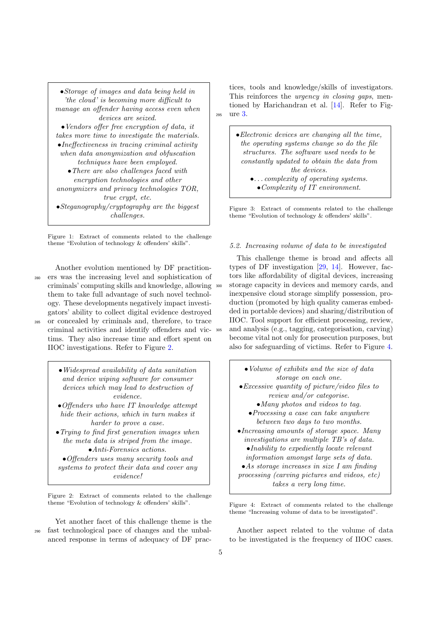<span id="page-6-0"></span>

| $\bullet$ Storage of images and data being held in     |
|--------------------------------------------------------|
| 'the cloud' is becoming more difficult to              |
| manage an offender having access even when             |
| <i>devices</i> are seized.                             |
| $\bullet$ Vendors offer free encryption of data, it    |
| takes more time to investigate the materials.          |
| $\bullet$ Ineffectiveness in tracing criminal activity |
| when data anonymization and obfuscation                |
| <i>techniques have been employed.</i>                  |
| $\bullet$ There are also challenges faced with         |
| encryption technologies and other                      |
| anonymizers and privacy technologies TOR,              |
| true crypt, etc.                                       |
| $\bullet Steganography/cryptography$ are the biggest   |
| <i>challenges.</i>                                     |

Figure 1: Extract of comments related to the challenge theme "Evolution of technology & offenders' skills".

Another evolution mentioned by DF practition-<sup>280</sup> ers was the increasing level and sophistication of criminals' computing skills and knowledge, allowing them to take full advantage of such novel technology. These developments negatively impact investigators' ability to collect digital evidence destroyed <sup>285</sup> or concealed by criminals and, therefore, to trace criminal activities and identify offenders and victims. They also increase time and effort spent on IIOC investigations. Refer to Figure [2.](#page-6-1)

<span id="page-6-1"></span>•Widespread availability of data sanitation and device wiping software for consumer devices which may lead to destruction of evidence. •Offenders who have IT knowledge attempt hide their actions, which in turn makes it harder to prove a case. •Trying to find first generation images when the meta data is striped from the image. •Anti-Forensics actions. •Offenders uses many security tools and systems to protect their data and cover any evidence!

Figure 2: Extract of comments related to the challenge theme "Evolution of technology & offenders' skills".

Yet another facet of this challenge theme is the <sup>290</sup> fast technological pace of changes and the unbalanced response in terms of adequacy of DF prac-

tices, tools and knowledge/skills of investigators. This reinforces the *urgency in closing gaps*, mentioned by Harichandran et al. [\[14\]](#page-14-6). Refer to Fig-<sup>295</sup> ure [3.](#page-6-2)

> <span id="page-6-2"></span> $\bullet$  Electronic devices are changing all the time. the operating systems change so do the file structures. The software used needs to be constantly updated to obtain the data from the devices. •. . . complexity of operating systems.

•Complexity of IT environment.

Figure 3: Extract of comments related to the challenge theme "Evolution of technology & offenders' skills".

## <span id="page-6-4"></span>5.2. Increasing volume of data to be investigated

This challenge theme is broad and affects all types of DF investigation [\[29,](#page-14-21) [14\]](#page-14-6). However, factors like affordability of digital devices, increasing storage capacity in devices and memory cards, and inexpensive cloud storage simplify possession, production (promoted by high quality cameras embedded in portable devices) and sharing/distribution of IIOC. Tool support for efficient processing, review, <sup>305</sup> and analysis (e.g., tagging, categorisation, carving) become vital not only for prosecution purposes, but also for safeguarding of victims. Refer to Figure [4.](#page-6-3)

<span id="page-6-3"></span>

Figure 4: Extract of comments related to the challenge theme "Increasing volume of data to be investigated".

Another aspect related to the volume of data to be investigated is the frequency of IIOC cases.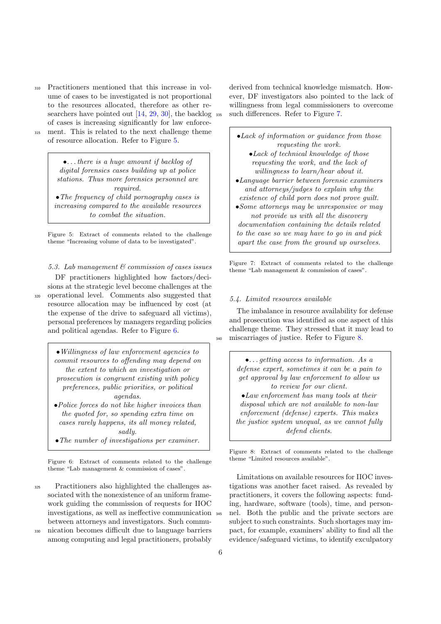- <sup>310</sup> Practitioners mentioned that this increase in volume of cases to be investigated is not proportional to the resources allocated, therefore as other re-searchers have pointed out [\[14,](#page-14-6) [29,](#page-14-21) [30\]](#page-14-22), the backlog 335 of cases is increasing significantly for law enforce-<sup>315</sup> ment. This is related to the next challenge theme
- 

of resource allocation. Refer to Figure [5.](#page-7-0)

<span id="page-7-0"></span>•. . . there is a huge amount if backlog of digital forensics cases building up at police stations. Thus more forensics personnel are required. •The frequency of child pornography cases is

increasing compared to the available resources to combat the situation.

Figure 5: Extract of comments related to the challenge theme "Increasing volume of data to be investigated".

5.3. Lab management & commission of cases issues

DF practitioners highlighted how factors/decisions at the strategic level become challenges at the <sup>320</sup> operational level. Comments also suggested that resource allocation may be influenced by cost (at the expense of the drive to safeguard all victims), personal preferences by managers regarding policies and political agendas. Refer to Figure [6.](#page-7-1)

> <span id="page-7-1"></span>•Willingness of law enforcement agencies to commit resources to offending may depend on the extent to which an investigation or prosecution is congruent existing with policy preferences, public priorities, or political agendas.

- •Police forces do not like higher invoices than the quoted for, so spending extra time on cases rarely happens, its all money related, sadly.
- •The number of investigations per examiner.

Figure 6: Extract of comments related to the challenge theme "Lab management & commission of cases".

<sup>325</sup> Practitioners also highlighted the challenges associated with the nonexistence of an uniform framework guiding the commission of requests for IIOC investigations, as well as ineffective communication between attorneys and investigators. Such commu-

<sup>330</sup> nication becomes difficult due to language barriers among computing and legal practitioners, probably

derived from technical knowledge mismatch. However, DF investigators also pointed to the lack of willingness from legal commissioners to overcome such differences. Refer to Figure [7.](#page-7-2)

<span id="page-7-2"></span>

| $\bullet$ Lack of information or guidance from those |
|------------------------------------------------------|
| requesting the work.                                 |
| $\bullet$ Lack of technical knowledge of those       |
| requesting the work, and the lack of                 |
| willingness to learn/hear about it.                  |
| •Language barrier between forensic examiners         |
| and attorneys/judges to explain why the              |
| existence of child porn does not prove quilt.        |
| • Some attorneys may be unresponsive or may          |
| not provide us with all the discovery                |
| <i>documentation containing the details related</i>  |
| to the case so we may have to go in and pick         |
| apart the case from the ground up ourselves.         |
|                                                      |

Figure 7: Extract of comments related to the challenge theme "Lab management & commission of cases".

#### 5.4. Limited resources available

The imbalance in resource availability for defense and prosecution was identified as one aspect of this challenge theme. They stressed that it may lead to <sup>340</sup> miscarriages of justice. Refer to Figure [8.](#page-7-3)

> <span id="page-7-3"></span>•. . . getting access to information. As a defense expert, sometimes it can be a pain to get approval by law enforcement to allow us to review for our client. •Law enforcement has many tools at their disposal which are not available to non-law enforcement (defense) experts. This makes the justice system unequal, as we cannot fully defend clients.

Figure 8: Extract of comments related to the challenge theme "Limited resources available".

Limitations on available resources for IIOC investigations was another facet raised. As revealed by practitioners, it covers the following aspects: funding, hardware, software (tools), time, and personnel. Both the public and the private sectors are subject to such constraints. Such shortages may impact, for example, examiners' ability to find all the evidence/safeguard victims, to identify exculpatory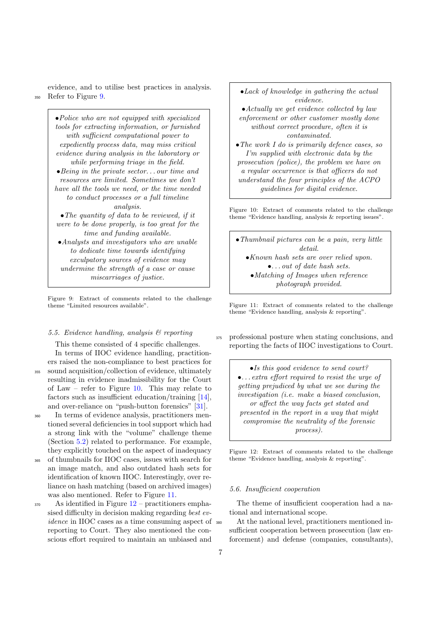evidence, and to utilise best practices in analysis. <sup>350</sup> Refer to Figure [9.](#page-8-0)

> <span id="page-8-0"></span>•Police who are not equipped with specialized tools for extracting information, or furnished with sufficient computational power to expediently process data, may miss critical evidence during analysis in the laboratory or while performing triage in the field. •Being in the private sector. . . our time and resources are limited. Sometimes we don't have all the tools we need, or the time needed to conduct processes or a full timeline analysis. •The quantity of data to be reviewed, if it were to be done properly, is too great for the time and funding available. •Analysts and investigators who are unable to dedicate time towards identifying exculpatory sources of evidence may undermine the strength of a case or cause miscarriages of justice.

Figure 9: Extract of comments related to the challenge theme "Limited resources available".

# 5.5. Evidence handling, analysis & reporting

This theme consisted of 4 specific challenges. In terms of IIOC evidence handling, practition-

ers raised the non-compliance to best practices for <sup>355</sup> sound acquisition/collection of evidence, ultimately resulting in evidence inadmissibility for the Court of Law – refer to Figure [10.](#page-8-1) This may relate to factors such as insufficient education/training [\[14\]](#page-14-6), and over-reliance on "push-button forensics" [\[31\]](#page-14-23).

<sup>360</sup> In terms of evidence analysis, practitioners mentioned several deficiencies in tool support which had a strong link with the "volume" challenge theme (Section [5.2\)](#page-6-4) related to performance. For example, they explicitly touched on the aspect of inadequacy

<sup>365</sup> of thumbnails for IIOC cases, issues with search for an image match, and also outdated hash sets for identification of known IIOC. Interestingly, over reliance on hash matching (based on archived images) was also mentioned. Refer to Figure [11.](#page-8-2)

 $370$  As identified in Figure  $12$  – practitioners emphasised difficulty in decision making regarding best evidence in IIOC cases as a time consuming aspect of  $\frac{1}{280}$ reporting to Court. They also mentioned the conscious effort required to maintain an unbiased and

<span id="page-8-1"></span>•Lack of knowledge in gathering the actual evidence. •Actually we get evidence collected by law enforcement or other customer mostly done without correct procedure, often it is contaminated. •The work I do is primarily defence cases, so I'm supplied with electronic data by the prosecution (police), the problem we have on a regular occurrence is that officers do not understand the four principles of the ACPO guidelines for digital evidence.

Figure 10: Extract of comments related to the challenge theme "Evidence handling, analysis & reporting issues".

<span id="page-8-2"></span>•Thumbnail pictures can be a pain, very little detail. •Known hash sets are over relied upon. •. . . out of date hash sets. •Matching of Images when reference photograph provided.

Figure 11: Extract of comments related to the challenge theme "Evidence handling, analysis & reporting".

<sup>375</sup> professional posture when stating conclusions, and reporting the facts of IIOC investigations to Court.

<span id="page-8-3"></span>•Is this good evidence to send court? •. . . extra effort required to resist the urge of getting prejudiced by what we see during the investigation (i.e. make a biased conclusion, or affect the way facts get stated and presented in the report in a way that might compromise the neutrality of the forensic process).

Figure 12: Extract of comments related to the challenge theme "Evidence handling, analysis & reporting".

#### 5.6. Insufficient cooperation

The theme of insufficient cooperation had a national and international scope.

At the national level, practitioners mentioned insufficient cooperation between prosecution (law enforcement) and defense (companies, consultants),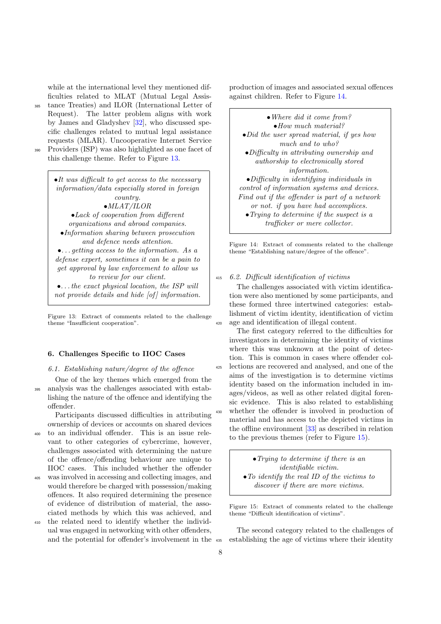while at the international level they mentioned difficulties related to MLAT (Mutual Legal Assis-

- <sup>385</sup> tance Treaties) and ILOR (International Letter of Request). The latter problem aligns with work by James and Gladyshev [\[32\]](#page-14-24), who discussed specific challenges related to mutual legal assistance requests (MLAR). Uncooperative Internet Service
- 

<sup>390</sup> Providers (ISP) was also highlighted as one facet of this challenge theme. Refer to Figure [13.](#page-9-1)

> <span id="page-9-1"></span>•It was difficult to get access to the necessary information/data especially stored in foreign country. •MLAT/ILOR •Lack of cooperation from different organizations and abroad companies. •Information sharing between prosecution and defence needs attention. •. . . getting access to the information. As a defense expert, sometimes it can be a pain to get approval by law enforcement to allow us to review for our client. •. . . the exact physical location, the ISP will not provide details and hide [of] information.

Figure 13: Extract of comments related to the challenge theme "Insufficient cooperation".

# <span id="page-9-0"></span>6. Challenges Specific to IIOC Cases

## 6.1. Establishing nature/degree of the offence

One of the key themes which emerged from the <sup>395</sup> analysis was the challenges associated with establishing the nature of the offence and identifying the offender.

Participants discussed difficulties in attributing ownership of devices or accounts on shared devices

- <sup>400</sup> to an individual offender. This is an issue relevant to other categories of cybercrime, however, challenges associated with determining the nature of the offence/offending behaviour are unique to IIOC cases. This included whether the offender
- <sup>405</sup> was involved in accessing and collecting images, and would therefore be charged with possession/making offences. It also required determining the presence of evidence of distribution of material, the associated methods by which this was achieved, and
- <sup>410</sup> the related need to identify whether the individual was engaged in networking with other offenders, and the potential for offender's involvement in the

production of images and associated sexual offences against children. Refer to Figure [14.](#page-9-2)

<span id="page-9-2"></span>•Where did it come from? •How much material? •Did the user spread material, if yes how much and to who? •Difficulty in attributing ownership and authorship to electronically stored information. •Difficulty in identifying individuals in control of information systems and devices. Find out if the offender is part of a network or not. if you have had accomplices. •Trying to determine if the suspect is a trafficker or mere collector.

Figure 14: Extract of comments related to the challenge theme "Establishing nature/degree of the offence".

#### <sup>415</sup> 6.2. Difficult identification of victims

The challenges associated with victim identification were also mentioned by some participants, and these formed three intertwined categories: establishment of victim identity, identification of victim <sup>420</sup> age and identification of illegal content.

The first category referred to the difficulties for investigators in determining the identity of victims where this was unknown at the point of detection. This is common in cases where offender col-<sup>425</sup> lections are recovered and analysed, and one of the aims of the investigation is to determine victims identity based on the information included in images/videos, as well as other related digital forensic evidence. This is also related to establishing whether the offender is involved in production of material and has access to the depicted victims in the offline environment [\[33\]](#page-14-25) as described in relation to the previous themes (refer to Figure [15\)](#page-9-3).

> <span id="page-9-3"></span>•Trying to determine if there is an identifiable victim. •To identify the real ID of the victims to discover if there are more victims.

Figure 15: Extract of comments related to the challenge theme "Difficult identification of victims".

The second category related to the challenges of <sup>435</sup> establishing the age of victims where their identity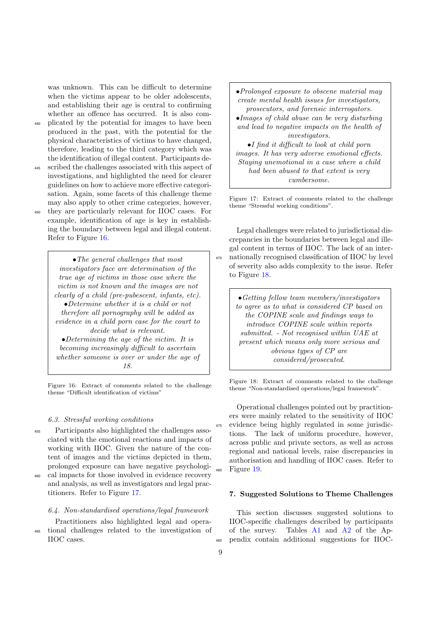was unknown. This can be difficult to determine when the victims appear to be older adolescents, and establishing their age is central to confirming whether an offence has occurred. It is also com-

- <sup>440</sup> plicated by the potential for images to have been produced in the past, with the potential for the physical characteristics of victims to have changed, therefore, leading to the third category which was the identification of illegal content. Participants de-
- <sup>445</sup> scribed the challenges associated with this aspect of investigations, and highlighted the need for clearer guidelines on how to achieve more effective categorisation. Again, some facets of this challenge theme may also apply to other crime categories, however, <sup>450</sup> they are particularly relevant for IIOC cases. For
- example, identification of age is key in establishing the boundary between legal and illegal content. Refer to Figure [16.](#page-10-1)

<span id="page-10-1"></span>• The general challenges that most investigators face are determination of the true age of victims in those case where the victim is not known and the images are not clearly of a child (pre-pubescent, infants, etc). •Determine whether it is a child or not therefore all pornography will be added as evidence in a child porn case for the court to decide what is relevant. •Determining the age of the victim. It is becoming increasingly difficult to ascertain whether someone is over or under the age of

18.

Figure 16: Extract of comments related to the challenge theme "Difficult identification of victims"

## 6.3. Stressful working conditions

- <sup>455</sup> Participants also highlighted the challenges associated with the emotional reactions and impacts of working with IIOC. Given the nature of the content of images and the victims depicted in them, prolonged exposure can have negative psychologi-
- <sup>460</sup> cal impacts for those involved in evidence recovery and analysis, as well as investigators and legal practitioners. Refer to Figure [17.](#page-10-2)

# 6.4. Non-standardised operations/legal framework

Practitioners also highlighted legal and opera-<sup>465</sup> tional challenges related to the investigation of IIOC cases.

<span id="page-10-2"></span>•Prolonged exposure to obscene material may create mental health issues for investigators, prosecutors, and forensic interrogators. •Images of child abuse can be very disturbing and lead to negative impacts on the health of investigators. •I find it difficult to look at child porn images. It has very adverse emotional effects. Staying unemotional in a case where a child had been abused to that extent is very

cumbersome.

Figure 17: Extract of comments related to the challenge theme "Stressful working conditions".

Legal challenges were related to jurisdictional discrepancies in the boundaries between legal and illegal content in terms of IIOC. The lack of an inter-<sup>470</sup> nationally recognised classification of IIOC by level of severity also adds complexity to the issue. Refer to Figure [18.](#page-10-3)

> <span id="page-10-3"></span>•Getting fellow team members/investigators to agree as to what is considered CP based on the COPINE scale and findings ways to introduce COPINE scale within reports submitted. - Not recognised within UAE at present which means only more serious and obvious types of CP are considered/prosecuted.

Figure 18: Extract of comments related to the challenge theme "Non-standardised operations/legal framework".

Operational challenges pointed out by practitioners were mainly related to the sensitivity of IIOC evidence being highly regulated in some jurisdictions. The lack of uniform procedure, however, across public and private sectors, as well as across regional and national levels, raise discrepancies in authorisation and handling of IIOC cases. Refer to Figure [19.](#page-11-0)

### <span id="page-10-0"></span>7. Suggested Solutions to Theme Challenges

This section discusses suggested solutions to IIOC-specific challenges described by participants of the survey. Tables [A1](#page-16-0) and [A2](#page-17-0) of the Ap-<sup>485</sup> pendix contain additional suggestions for IIOC-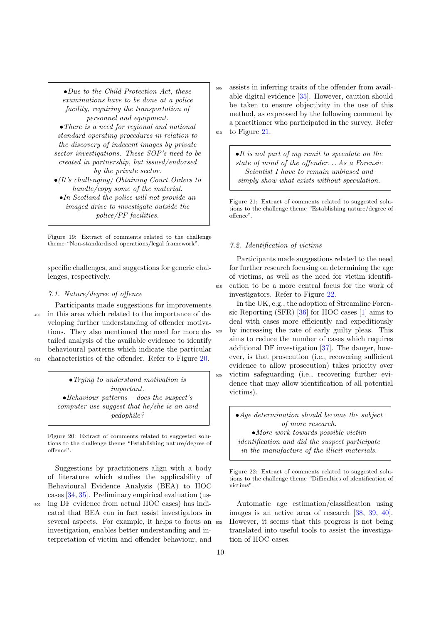<span id="page-11-0"></span>•Due to the Child Protection Act, these examinations have to be done at a police facility, requiring the transportation of personnel and equipment. • There is a need for regional and national standard operating procedures in relation to the discovery of indecent images by private sector investigations. These SOP's need to be created in partnership, but issued/endorsed by the private sector. •(It's challenging) Obtaining Court Orders to handle/copy some of the material.

•In Scotland the police will not provide an imaged drive to investigate outside the police/PF facilities.

Figure 19: Extract of comments related to the challenge theme "Non-standardised operations/legal framework".

specific challenges, and suggestions for generic challenges, respectively.

# 7.1. Nature/degree of offence

Participants made suggestions for improvements <sup>490</sup> in this area which related to the importance of developing further understanding of offender motivations. They also mentioned the need for more detailed analysis of the available evidence to identify behavioural patterns which indicate the particular <sup>495</sup> characteristics of the offender. Refer to Figure [20.](#page-11-1)

<span id="page-11-1"></span>•Trying to understand motivation is important.  $\bullet$ Behaviour patterns – does the suspect's computer use suggest that he/she is an avid pedophile?

Figure 20: Extract of comments related to suggested solutions to the challenge theme "Establishing nature/degree of offence".

Suggestions by practitioners align with a body of literature which studies the applicability of Behavioural Evidence Analysis (BEA) to IIOC cases [\[34,](#page-14-26) [35\]](#page-14-27). Preliminary empirical evaluation (us-<sup>500</sup> ing DF evidence from actual IIOC cases) has indicated that BEA can in fact assist investigators in several aspects. For example, it helps to focus an investigation, enables better understanding and interpretation of victim and offender behaviour, and

<sup>505</sup> assists in inferring traits of the offender from available digital evidence [\[35\]](#page-14-27). However, caution should be taken to ensure objectivity in the use of this method, as expressed by the following comment by a practitioner who participated in the survey. Refer <sup>510</sup> to Figure [21.](#page-11-2)

> <span id="page-11-2"></span>•It is not part of my remit to speculate on the state of mind of the offender. . . As a Forensic Scientist I have to remain unbiased and simply show what exists without speculation.

Figure 21: Extract of comments related to suggested solutions to the challenge theme "Establishing nature/degree of offence".

# 7.2. Identification of victims

Participants made suggestions related to the need for further research focusing on determining the age of victims, as well as the need for victim identifi-<sup>515</sup> cation to be a more central focus for the work of investigators. Refer to Figure [22.](#page-11-3)

In the UK, e.g., the adoption of Streamline Forensic Reporting (SFR) [\[36\]](#page-14-28) for IIOC cases [\[1\]](#page-13-0) aims to deal with cases more efficiently and expeditiously <sup>520</sup> by increasing the rate of early guilty pleas. This aims to reduce the number of cases which requires additional DF investigation [\[37\]](#page-14-29). The danger, however, is that prosecution (i.e., recovering sufficient evidence to allow prosecution) takes priority over <sup>525</sup> victim safeguarding (i.e., recovering further evidence that may allow identification of all potential victims).

> <span id="page-11-3"></span>•Age determination should become the subject of more research. •More work towards possible victim identification and did the suspect participate in the manufacture of the illicit materials.

Figure 22: Extract of comments related to suggested solutions to the challenge theme "Difficulties of identification of victims".

Automatic age estimation/classification using images is an active area of research [\[38,](#page-14-30) [39,](#page-14-31) [40\]](#page-14-32). <sup>530</sup> However, it seems that this progress is not being translated into useful tools to assist the investigation of IIOC cases.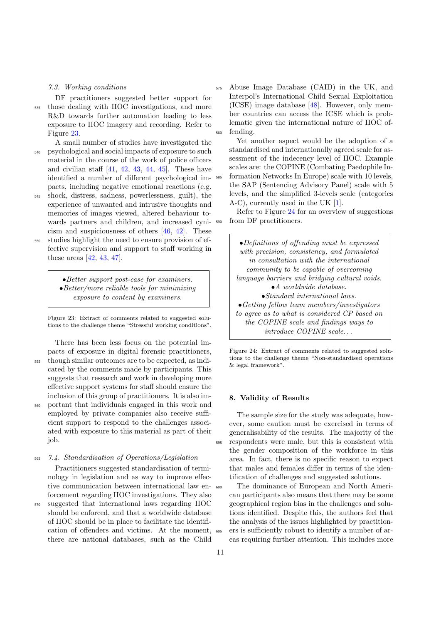## 7.3. Working conditions

DF practitioners suggested better support for

<sup>535</sup> those dealing with IIOC investigations, and more R&D towards further automation leading to less exposure to IIOC imagery and recording. Refer to Figure [23.](#page-12-1)

- A small number of studies have investigated the <sup>540</sup> psychological and social impacts of exposure to such material in the course of the work of police officers and civilian staff  $[41, 42, 43, 44, 45]$  $[41, 42, 43, 44, 45]$  $[41, 42, 43, 44, 45]$  $[41, 42, 43, 44, 45]$  $[41, 42, 43, 44, 45]$  $[41, 42, 43, 44, 45]$  $[41, 42, 43, 44, 45]$  $[41, 42, 43, 44, 45]$  $[41, 42, 43, 44, 45]$ . These have identified a number of different psychological impacts, including negative emotional reactions (e.g.
- <sup>545</sup> shock, distress, sadness, powerlessness, guilt), the experience of unwanted and intrusive thoughts and memories of images viewed, altered behaviour towards partners and children, and increased cynicism and suspiciousness of others [\[46,](#page-15-5) [42\]](#page-15-1). These
- <sup>550</sup> studies highlight the need to ensure provision of effective supervision and support to staff working in these areas [\[42,](#page-15-1) [43,](#page-15-2) [47\]](#page-15-6).

<span id="page-12-1"></span>•Better support post-case for examiners. •Better/more reliable tools for minimizing exposure to content by examiners.

Figure 23: Extract of comments related to suggested solutions to the challenge theme "Stressful working conditions".

There has been less focus on the potential impacts of exposure in digital forensic practitioners, <sup>555</sup> though similar outcomes are to be expected, as indicated by the comments made by participants. This suggests that research and work in developing more effective support systems for staff should ensure the inclusion of this group of practitioners. It is also im-<sup>560</sup> portant that individuals engaged in this work and employed by private companies also receive sufficient support to respond to the challenges associated with exposure to this material as part of their job.

<sup>565</sup> 7.4. Standardisation of Operations/Legislation

Practitioners suggested standardisation of terminology in legislation and as way to improve effective communication between international law enforcement regarding IIOC investigations. They also <sup>570</sup> suggested that international laws regarding IIOC should be enforced, and that a worldwide database of IIOC should be in place to facilitate the identifi-

cation of offenders and victims. At the moment, there are national databases, such as the Child

<sup>575</sup> Abuse Image Database (CAID) in the UK, and Interpol's International Child Sexual Exploitation (ICSE) image database [\[48\]](#page-15-7). However, only member countries can access the ICSE which is problematic given the international nature of IIOC offending.

Yet another aspect would be the adoption of a standardised and internationally agreed scale for assessment of the indecency level of IIOC. Example scales are: the COPINE (Combating Paedophile In-<sup>585</sup> formation Networks In Europe) scale with 10 levels, the SAP (Sentencing Advisory Panel) scale with 5 levels, and the simplified 3-levels scale (categories A-C), currently used in the UK [\[1\]](#page-13-0).

Refer to Figure [24](#page-12-2) for an overview of suggestions <sup>590</sup> from DF practitioners.

> <span id="page-12-2"></span>•Definitions of offending must be expressed with precision, consistency, and formulated in consultation with the international community to be capable of overcoming language barriers and bridging cultural voids. •A worldwide database. •Standard international laws. •Getting fellow team members/investigators to agree as to what is considered CP based on the COPINE scale and findings ways to introduce COPINE scale. . .

Figure 24: Extract of comments related to suggested solutions to the challenge theme "Non-standardised operations  $&$  legal framework".

#### <span id="page-12-0"></span>8. Validity of Results

The sample size for the study was adequate, however, some caution must be exercised in terms of generalisability of the results. The majority of the <sup>595</sup> respondents were male, but this is consistent with the gender composition of the workforce in this area. In fact, there is no specific reason to expect that males and females differ in terms of the identification of challenges and suggested solutions.

<sup>600</sup> The dominance of European and North American participants also means that there may be some geographical region bias in the challenges and solutions identified. Despite this, the authors feel that the analysis of the issues highlighted by practition-<sup>605</sup> ers is sufficiently robust to identify a number of areas requiring further attention. This includes more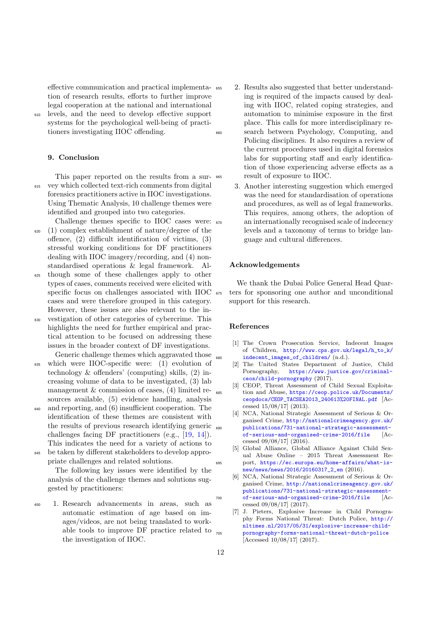effective communication and practical implementation of research results, efforts to further improve legal cooperation at the national and international <sup>610</sup> levels, and the need to develop effective support

systems for the psychological well-being of practitioners investigating IIOC offending.

# <span id="page-13-7"></span>9. Conclusion

This paper reported on the results from a sur-<sup>615</sup> vey which collected text-rich comments from digital forensics practitioners active in IIOC investigations. Using Thematic Analysis, 10 challenge themes were identified and grouped into two categories.

- Challenge themes specific to IIOC cases were:  $_{670}$  $620$  (1) complex establishment of nature/degree of the offence, (2) difficult identification of victims, (3) stressful working conditions for DF practitioners dealing with IIOC imagery/recording, and (4) nonstandardised operations & legal framework. Al-
- <sup>625</sup> though some of these challenges apply to other types of cases, comments received were elicited with specific focus on challenges associated with IIOC cases and were therefore grouped in this category. However, these issues are also relevant to the in-
- <sup>630</sup> vestigation of other categories of cybercrime. This highlights the need for further empirical and practical attention to be focused on addressing these issues in the broader context of DF investigations. Generic challenge themes which aggravated those
- <sup>635</sup> which were IIOC-specific were: (1) evolution of technology & offenders' (computing) skills, (2) increasing volume of data to be investigated, (3) lab management & commission of cases, (4) limited resources available, (5) evidence handling, analysis
- <sup>640</sup> and reporting, and (6) insufficient cooperation. The identification of these themes are consistent with the results of previous research identifying generic challenges facing DF practitioners (e.g., [\[19,](#page-14-11) [14\]](#page-14-6)). This indicates the need for a variety of actions to
- <sup>645</sup> be taken by different stakeholders to develop appropriate challenges and related solutions.

The following key issues were identified by the analysis of the challenge themes and solutions suggested by practitioners:

<sup>650</sup> 1. Research advancements in areas, such as automatic estimation of age based on images/videos, are not being translated to workable tools to improve DF practice related to the investigation of IIOC.

- 2. Results also suggested that better understanding is required of the impacts caused by dealing with IIOC, related coping strategies, and automation to minimise exposure in the first place. This calls for more interdisciplinary re-<sup>660</sup> search between Psychology, Computing, and Policing disciplines. It also requires a review of the current procedures used in digital forensics labs for supporting staff and early identification of those experiencing adverse effects as a result of exposure to IIOC.
	- 3. Another interesting suggestion which emerged was the need for standardisation of operations and procedures, as well as of legal frameworks. This requires, among others, the adoption of an internationally recognised scale of indecency levels and a taxonomy of terms to bridge language and cultural differences.

# Acknowledgements

We thank the Dubai Police General Head Quarters for sponsoring one author and unconditional support for this research.

#### <span id="page-13-0"></span>References

- <span id="page-13-1"></span>[1] The Crown Prosecution Service, Indecent Images of Children, [http://www.cps.gov.uk/legal/h\\_to\\_k/](http://www.cps.gov.uk/legal/h_to_k/indecent_images_of_children/) <sup>680</sup> [indecent\\_images\\_of\\_children/](http://www.cps.gov.uk/legal/h_to_k/indecent_images_of_children/) (n.d.).
	- [2] The United States Department of Justice, Child Pornography, [https://www.justice.gov/criminal](https://www.justice.gov/criminal-ceos/child-pornography)[ceos/child-pornography](https://www.justice.gov/criminal-ceos/child-pornography) (2017).
- <span id="page-13-3"></span><span id="page-13-2"></span>[3] CEOP, Threat Assessment of Child Sexual Exploita-<sup>685</sup> tion and Abuse, [https://ceop.police.uk/Documents/](https://ceop.police.uk/Documents/ceopdocs/CEOP_TACSEA2013_240613%20FINAL.pdf) [ceopdocs/CEOP\\_TACSEA2013\\_240613%20FINAL.pdf](https://ceop.police.uk/Documents/ceopdocs/CEOP_TACSEA2013_240613%20FINAL.pdf) [Accessed 15/08/17] (2013).
	- [4] NCA, National Strategic Assessment of Serious & Organised Crime, [http://nationalcrimeagency.gov.uk/](http://nationalcrimeagency.gov.uk/publications/731-national-strategic-assessment-of-serious-and-organised-crime-2016/file) [publications/731-national-strategic-assessment](http://nationalcrimeagency.gov.uk/publications/731-national-strategic-assessment-of-serious-and-organised-crime-2016/file)[of-serious-and-organised-crime-2016/file](http://nationalcrimeagency.gov.uk/publications/731-national-strategic-assessment-of-serious-and-organised-crime-2016/file)  $[Ac$ cessed 09/08/17] (2016).
- <span id="page-13-4"></span>[5] Global Alliance, Global Alliance Against Child Sexual Abuse Online – 2015 Threat Assessment Re-<sup>695</sup> port, [https://ec.europa.eu/home-affairs/what-is](https://ec.europa.eu/home-affairs/what-is-new/news/news/2016/20160317_2_en)[new/news/news/2016/20160317\\_2\\_en](https://ec.europa.eu/home-affairs/what-is-new/news/news/2016/20160317_2_en) (2016).
- <span id="page-13-5"></span>[6] NCA, National Strategic Assessment of Serious & Organised Crime, [http://nationalcrimeagency.gov.uk/](http://nationalcrimeagency.gov.uk/publications/731-national-strategic-assessment-of-serious-and-organised-crime-2016/file) [publications/731-national-strategic-assessment-](http://nationalcrimeagency.gov.uk/publications/731-national-strategic-assessment-of-serious-and-organised-crime-2016/file)<sup>700</sup> [of-serious-and-organised-crime-2016/file](http://nationalcrimeagency.gov.uk/publications/731-national-strategic-assessment-of-serious-and-organised-crime-2016/file) [Accessed 09/08/17] (2017).
- <span id="page-13-6"></span>[7] J. Pieters, Explosive Increase in Child Pornography Forms National Threat: Dutch Police, [http://](http://nltimes.nl/2017/05/31/explosive-increase-child-pornography-forms-national-threat-dutch-police) [nltimes.nl/2017/05/31/explosive-increase-child-](http://nltimes.nl/2017/05/31/explosive-increase-child-pornography-forms-national-threat-dutch-police)<sup>705</sup> [pornography-forms-national-threat-dutch-police](http://nltimes.nl/2017/05/31/explosive-increase-child-pornography-forms-national-threat-dutch-police) [Accessed 10/08/17] (2017).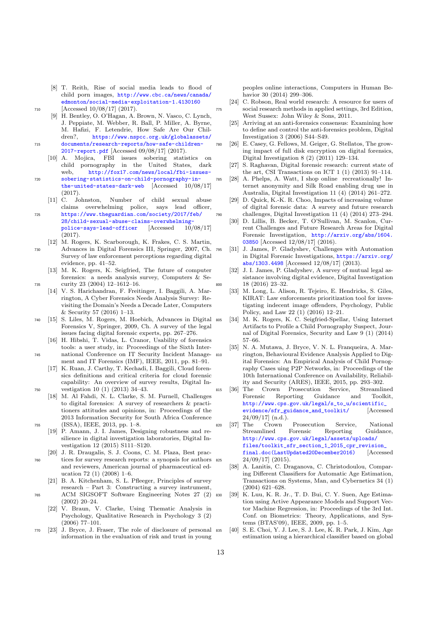- <span id="page-14-0"></span>[8] T. Reith, Rise of social media leads to flood of child porn images, [http://www.cbc.ca/news/canada/](http://www.cbc.ca/news/canada/edmonton/social-media-exploitation-1.4130160) [edmonton/social-media-exploitation-1.4130160](http://www.cbc.ca/news/canada/edmonton/social-media-exploitation-1.4130160) <sup>710</sup> [Accessed 10/08/17] (2017).
- <span id="page-14-1"></span>[9] H. Bentley, O. O'Hagan, A. Brown, N. Vasco, C. Lynch, J. Peppiate, M. Webber, R. Ball, P. Miller, A. Byrne, M. Hafizi, F. Letendrie, How Safe Are Our Children?, [https://www.nspcc.org.uk/globalassets/](https://www.nspcc.org.uk/globalassets/documents/research-reports/how-safe-children-2017-report.pdf) <sup>715</sup> [documents/research-reports/how-safe-children-](https://www.nspcc.org.uk/globalassets/documents/research-reports/how-safe-children-2017-report.pdf)
	- [2017-report.pdf](https://www.nspcc.org.uk/globalassets/documents/research-reports/how-safe-children-2017-report.pdf) [Accessed 09/08/17] (2017).<br>[10] A. Mojica, FBI issues sobering statistic [10] A. Mojica, FBI issues sobering statistics on child pornography in the United States, dark
- <span id="page-14-2"></span>web, [http://fox17.com/news/local/fbi-issues-](http://fox17.com/news/local/fbi-issues-sobering-statistics-on-child-pornography-in-the-united-states-dark-web)<sup>720</sup> [sobering-statistics-on-child-pornography-in](http://fox17.com/news/local/fbi-issues-sobering-statistics-on-child-pornography-in-the-united-states-dark-web)[the-united-states-dark-web](http://fox17.com/news/local/fbi-issues-sobering-statistics-on-child-pornography-in-the-united-states-dark-web) [Accessed 10/08/17]
	- $(2017)$ .<br>[11] C. Johnston. Number of child sexual abuse claims overwhelming police, says lead officer,
- <span id="page-14-3"></span><sup>725</sup> [https://www.theguardian.com/society/2017/feb/](https://www.theguardian.com/society/2017/feb/28/child-sexual-abuse-claims-overwhelming-police-says-lead-officer) [28/child-sexual-abuse-claims-overwhelming](https://www.theguardian.com/society/2017/feb/28/child-sexual-abuse-claims-overwhelming-police-says-lead-officer)[police-says-lead-officer](https://www.theguardian.com/society/2017/feb/28/child-sexual-abuse-claims-overwhelming-police-says-lead-officer) [Accessed 10/08/17] (2017).
	- [12] M. Rogers, K. Scarborough, K. Frakes, C. S. Martin,
- <span id="page-14-4"></span><sup>730</sup> Advances in Digital Forensics III, Springer, 2007, Ch. Survey of law enforcement perceptions regarding digital evidence, pp. 41–52.
- <span id="page-14-6"></span><span id="page-14-5"></span>[13] M. K. Rogers, K. Seigfried, The future of computer forensics: a needs analysis survey, Computers & Se-<sup>735</sup> curity 23 (2004) 12–1612–16.
	- [14] V. S. Harichandran, F. Freitinger, I. Baggili, A. Marrington, A Cyber Forensics Needs Analysis Survey: Revisiting the Domain's Needs a Decade Later, Computers & Security 57 (2016) 1–13.
- <span id="page-14-7"></span><sup>740</sup> [15] S. Liles, M. Rogers, M. Hoebich, Advances in Digital Forensics V, Springer, 2009, Ch. A survey of the legal issues facing digital forensic experts, pp. 267–276.
- <span id="page-14-8"></span>[16] H. Hibshi, T. Vidas, L. Cranor, Usability of forensics tools: a user study, in: Proceedings of the Sixth Inter-<sup>745</sup> national Conference on IT Security Incident Manage
	- ment and IT Forensics (IMF), IEEE, 2011, pp. 81–91. [17] K. Ruan, J. Carthy, T. Kechadi, I. Baggili, Cloud foren-
- <span id="page-14-9"></span>sics definitions and critical criteria for cloud forensic capability: An overview of survey results, Digital In-<sup>750</sup> vestigation 10 (1) (2013) 34–43.
- <span id="page-14-10"></span>[18] M. Al Fahdi, N. L. Clarke, S. M. Furnell, Challenges to digital forensics: A survey of researchers & practitioners attitudes and opinions, in: Proceedings of the 2013 Information Security for South Africa Conference <sup>755</sup> (ISSA), IEEE, 2013, pp. 1–8.
	- [19] P. Amann, J. I. James, Designing robustness and resilience in digital investigation laboratories, Digital Investigation 12 (2015) S111–S120.
- <span id="page-14-12"></span><span id="page-14-11"></span>[20] J. R. Draugalis, S. J. Coons, C. M. Plaza, Best prac-<sup>760</sup> tices for survey research reports: a synopsis for authors and reviewers, American journal of pharmaceutical education 72 (1) (2008) 1–6.
- <span id="page-14-13"></span>[21] B. A. Kitchenham, S. L. Pfleeger, Principles of survey research – Part 3: Constructing a survey instrument, <sup>765</sup> ACM SIGSOFT Software Engineering Notes 27 (2) (2002) 20–24.
	- [22] V. Braun, V. Clarke, Using Thematic Analysis in Psychology, Qualitative Research in Psychology 3 (2) (2006) 77–101.
- <span id="page-14-15"></span><span id="page-14-14"></span><sup>770</sup> [23] J. Bryce, J. Fraser, The role of disclosure of personal information in the evaluation of risk and trust in young

peoples online interactions, Computers in Human Behavior 30 (2014) 299–306.

- <span id="page-14-17"></span><span id="page-14-16"></span>[24] C. Robson, Real world research: A resource for users of <sup>775</sup> social research methods in applied settings, 3rd Edition, West Sussex: John Wiley & Sons, 2011.
	- [25] Arriving at an anti-forensics consensus: Examining how to define and control the anti-forensics problem, Digital Investigation 3 (2006) S44–S49.
- <span id="page-14-18"></span><sup>780</sup> [26] E. Casey, G. Fellows, M. Geiger, G. Stellatos, The growing impact of full disk encryption on digital forensics, Digital Investigation 8 (2) (2011) 129–134.
	- [27] S. Raghavan, Digital forensic research: current state of the art, CSI Transactions on ICT  $1(1)(2013)$  91-114.
- <span id="page-14-20"></span><span id="page-14-19"></span><sup>785</sup> [28] A. Phelps, A. Watt, I shop online recreationally! Internet anonymity and Silk Road enabling drug use in Australia, Digital Investigation 11 (4) (2014) 261–272.
- <span id="page-14-22"></span><span id="page-14-21"></span>[29] D. Quick, K.-K. R. Choo, Impacts of increasing volume of digital forensic data: A survey and future research <sup>790</sup> challenges, Digital Investigation 11 (4) (2014) 273–294.
	- [30] D. Lillis, B. Becker, T. O'Sullivan, M. Scanlon, Current Challenges and Future Research Areas for Digital Forensic Investigation, [http://arxiv.org/abs/1604.](http://arxiv.org/abs/1604.03850) [03850](http://arxiv.org/abs/1604.03850) [Accessed 12/08/17] (2016).
- <span id="page-14-26"></span><span id="page-14-25"></span><span id="page-14-24"></span><span id="page-14-23"></span><sup>795</sup> [31] J. James, P. Gladyshev, Challenges with Automation in Digital Forensic Investigations, [https://arxiv.org/](https://arxiv.org/abs/1303.4498) [abs/1303.4498](https://arxiv.org/abs/1303.4498) [Accessed 12/08/17] (2013).
	- [32] J. I. James, P. Gladyshev, A survey of mutual legal assistance involving digital evidence, Digital Investigation 18 (2016) 23-32.
	- [33] M. Long, L. Alison, R. Tejeiro, E. Hendricks, S. Giles, KIRAT: Law enforcements prioritization tool for investigating indecent image offenders, Psychology, Public Policy, and Law 22 (1) (2016) 12–21.
	- [34] M. K. Rogers, K. C. Seigfried-Spellar, Using Internet Artifacts to Profile a Child Pornography Suspect, Journal of Digital Forensics, Security and Law 9 (1) (2014) 57–66.
	- [35] N. A. Mutawa, J. Bryce, V. N. L. Franqueira, A. Marrington, Behavioural Evidence Analysis Applied to Digital Forensics: An Empirical Analysis of Child Pornography Cases uing P2P Networks, in: Proceedings of the 10th International Conference on Availability, Reliability and Security (ARES), IEEE, 2015, pp. 293–302.
- <span id="page-14-28"></span><span id="page-14-27"></span>815 [36] The Crown Prosecution Service, Forensic Reporting Guidance and Toolkit, [http://www.cps.gov.uk/legal/s\\_to\\_u/scientific\\_](http://www.cps.gov.uk/legal/s_to_u/scientific_evidence/sfr_guidance_and_toolkit/) [evidence/sfr\\_guidance\\_and\\_toolkit/](http://www.cps.gov.uk/legal/s_to_u/scientific_evidence/sfr_guidance_and_toolkit/) [Accessed  $24/09/17$ ] (n.d.).<br>The Crown
- <span id="page-14-29"></span><sup>820</sup> [37] The Crown Prosecution Service, National Streamlined Forensic Reporting Guidance, [http://www.cps.gov.uk/legal/assets/uploads/](http://www.cps.gov.uk/legal/assets/uploads/files/toolkit_sfr_section_1_2015_cpr_revision_final.doc (Last Updated 20 December 2016)) files/toolkit\_sfr\_section\_1\_2015\_cpr\_revision [final.doc\(LastUpdated20December2016\)](http://www.cps.gov.uk/legal/assets/uploads/files/toolkit_sfr_section_1_2015_cpr_revision_final.doc (Last Updated 20 December 2016)) [Accessed  $24/09/17$  (2015).
	- [38] A. Lanitis, C. Draganova, C. Christodoulou, Comparing Different Classifiers for Automatic Age Estimation, Transactions on Systems, Man, and Cybernetics 34 (1) (2004) 621–628.
- <span id="page-14-32"></span><span id="page-14-31"></span><span id="page-14-30"></span><sup>830</sup> [39] K. Luu, K. R. Jr., T. D. Bui, C. Y. Suen, Age Estimation using Active Appearance Models and Support Vector Machine Regression, in: Proceedings of the 3rd Int. Conf. on Biometrics: Theory, Applications, and Systems (BTAS'09), IEEE, 2009, pp. 1–5.
	- [40] S. E. Choi, Y. J. Lee, S. J. Lee, K. R. Park, J. Kim, Age estimation using a hierarchical classifier based on global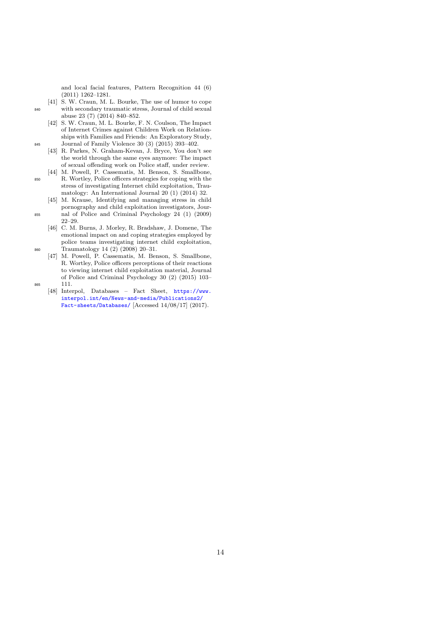and local facial features, Pattern Recognition 44 (6) (2011) 1262–1281.

- <span id="page-15-0"></span>[41] S. W. Craun, M. L. Bourke, The use of humor to cope <sup>840</sup> with secondary traumatic stress, Journal of child sexual abuse 23 (7) (2014) 840–852.
- <span id="page-15-1"></span>[42] S. W. Craun, M. L. Bourke, F. N. Coulson, The Impact of Internet Crimes against Children Work on Relationships with Families and Friends: An Exploratory Study, 845 Journal of Family Violence 30 (3)  $(2015)$  393–402.
	- [43] R. Parkes, N. Graham-Kevan, J. Bryce, You don't see the world through the same eyes anymore: The impact of sexual offending work on Police staff, under review.
- <span id="page-15-3"></span><span id="page-15-2"></span>[44] M. Powell, P. Cassematis, M. Benson, S. Smallbone, <sup>850</sup> R. Wortley, Police officers strategies for coping with the stress of investigating Internet child exploitation, Traumatology: An International Journal 20 (1) (2014) 32.
	- [45] M. Krause, Identifying and managing stress in child pornography and child exploitation investigators, Jour-
- <span id="page-15-4"></span><sup>855</sup> nal of Police and Criminal Psychology 24 (1) (2009) 22–29.
- <span id="page-15-5"></span>[46] C. M. Burns, J. Morley, R. Bradshaw, J. Domene, The emotional impact on and coping strategies employed by police teams investigating internet child exploitation, <sup>860</sup> Traumatology 14 (2) (2008) 20–31.
- <span id="page-15-6"></span>[47] M. Powell, P. Cassematis, M. Benson, S. Smallbone, R. Wortley, Police officers perceptions of their reactions to viewing internet child exploitation material, Journal of Police and Criminal Psychology 30 (2) (2015) 103– <sup>865</sup> 111.
- <span id="page-15-7"></span>
	- [\[](https://www.interpol.int/en/News-and-media/Publications2/Fact-sheets/Databases/)48] Interpol, Databases Fact Sheet, [https://www.](https://www.interpol.int/en/News-and-media/Publications2/Fact-sheets/Databases/) [interpol.int/en/News-and-media/Publications2/](https://www.interpol.int/en/News-and-media/Publications2/Fact-sheets/Databases/) [Fact-sheets/Databases/](https://www.interpol.int/en/News-and-media/Publications2/Fact-sheets/Databases/) [Accessed 14/08/17] (2017).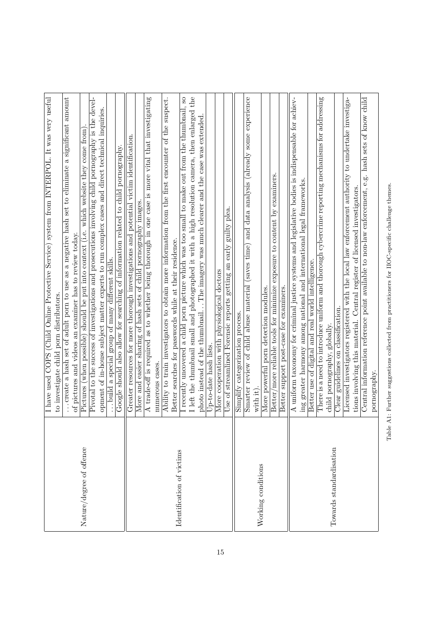<span id="page-16-0"></span>

|                           | I have used COPS (Child Online Protective Service) system from INTERPOL. It was very useful<br>to investigate child porn distributors.                                                                |
|---------------------------|-------------------------------------------------------------------------------------------------------------------------------------------------------------------------------------------------------|
|                           | significant amount<br>eliminate a<br>create a hash set of adult porn to use as a negative hash set to<br>of pictures and videos an examiner has to review today                                       |
| Nature/degree of offence  | which website they come from<br>should be put into context (i.e.<br>Pictures (when possible)                                                                                                          |
|                           | Pivotal to the success of investigations and prosecutions involving child pornography is the devel-<br>opment of in-house subject matter experts to run complex cases and direct technical inquiries. |
|                           | <u>ო</u><br><u>skil</u><br>many different<br>group of<br>special<br>$\mathfrak{a}$<br>build                                                                                                           |
|                           | pornography.<br>also allow for searching of information related to child<br>Google should                                                                                                             |
|                           | Greater resources for more thorough investigations and potential victim identification                                                                                                                |
|                           | A trade-off is required as to whether being thorough in one case is more vital that investigating<br>More and easier sharing of hash sets of child pornography images.                                |
|                           | numerous cases                                                                                                                                                                                        |
|                           | suspect.<br>Ability to train investigators to obtain more information from the first encounter of the                                                                                                 |
| Identification of victims | for passwords while at their residence.<br>Better searches                                                                                                                                            |
|                           | small to make out from the thumbnail, so<br>a child porn picture which was too<br>I recently uncovered                                                                                                |
|                           | I left the thumbnail small and photographed it with a high resolution camera, then enlarged the                                                                                                       |
|                           | photo instead of the thumbnailThe imagery was much clearer and the case was extended                                                                                                                  |
|                           | Up-to-date hash lists                                                                                                                                                                                 |
|                           | More cooperation with physiological doctors                                                                                                                                                           |
|                           | plea.<br>guilty<br>${\rm early}$<br>$\mathop{\mathrm{an}}$<br>getting<br>Use of streamlined Forensic reports                                                                                          |
|                           | process<br>categorization<br>Simplify                                                                                                                                                                 |
|                           | experience<br>some<br>(already<br>analysis<br>data<br>and<br>(saves time)<br>abuse material<br>child<br>Smarter review of                                                                             |
| Working conditions        | with                                                                                                                                                                                                  |
|                           | More powerful porn detection modules.                                                                                                                                                                 |
|                           | examiners<br>exposure to content by<br>more reliable tools for minimize<br>Better/                                                                                                                    |
|                           | support post-case for examiners.<br>Better                                                                                                                                                            |
|                           | A uniform taxonomy for criminal justice systems and legislative bodies is indispensable for achiev-                                                                                                   |
|                           | frameworks<br>greater harmony among national and international legal<br>ing                                                                                                                           |
|                           | world intelligence.<br>and real<br>digital<br>Better use of                                                                                                                                           |
|                           | There is a need to introduce uniform and thorough cybercrime reporting mechanisms for addressing                                                                                                      |
| Towards standardisation   | globally.<br>pornography,<br>child                                                                                                                                                                    |
|                           | guidelines on classification.<br>Clear                                                                                                                                                                |
|                           | Licensed investigators registered with the local law enforcement authority to undertake investiga-                                                                                                    |
|                           | tions involving this material. Central register of licensed investigators.                                                                                                                            |
|                           | Central information reference point available to non-law enforcement, e.g. hash sets of know child<br>pornography.                                                                                    |
|                           |                                                                                                                                                                                                       |

Table A1: Further suggestions collected from practitioners for IIOC-specific challenge themes. Table A1: Further suggestions collected from practitioners for IIOC-specific challenge themes.